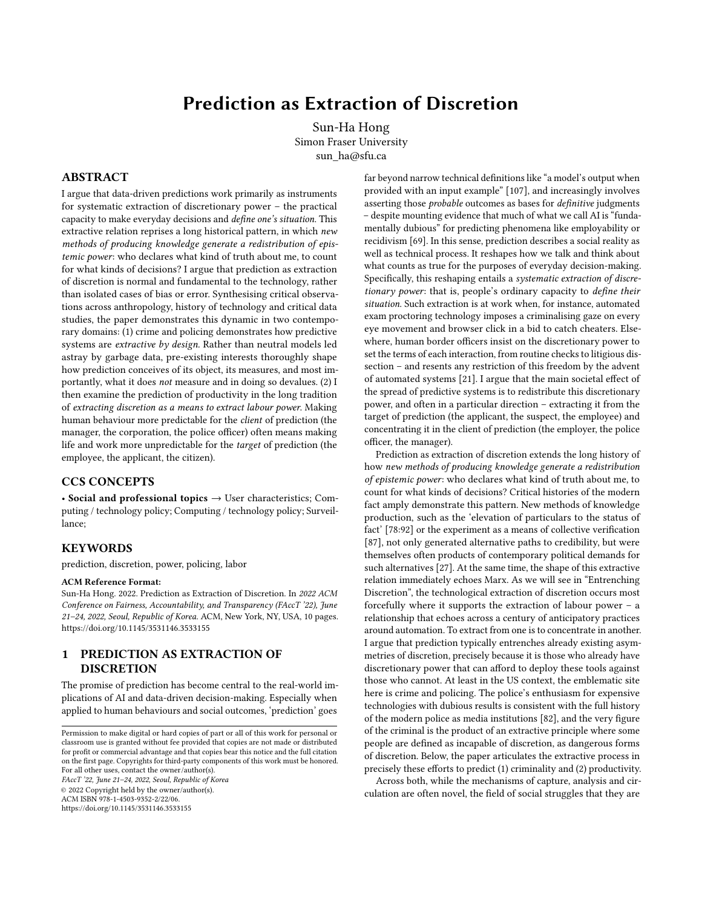# Prediction as Extraction of Discretion

Sun-Ha Hong Simon Fraser University sun\_ha@sfu.ca

## ABSTRACT

I argue that data-driven predictions work primarily as instruments for systematic extraction of discretionary power – the practical capacity to make everyday decisions and define one's situation. This extractive relation reprises a long historical pattern, in which new methods of producing knowledge generate a redistribution of epistemic power: who declares what kind of truth about me, to count for what kinds of decisions? I argue that prediction as extraction of discretion is normal and fundamental to the technology, rather than isolated cases of bias or error. Synthesising critical observations across anthropology, history of technology and critical data studies, the paper demonstrates this dynamic in two contemporary domains: (1) crime and policing demonstrates how predictive systems are extractive by design. Rather than neutral models led astray by garbage data, pre-existing interests thoroughly shape how prediction conceives of its object, its measures, and most importantly, what it does not measure and in doing so devalues. (2) I then examine the prediction of productivity in the long tradition of extracting discretion as a means to extract labour power. Making human behaviour more predictable for the client of prediction (the manager, the corporation, the police officer) often means making life and work more unpredictable for the target of prediction (the employee, the applicant, the citizen).

## CCS CONCEPTS

• Social and professional topics  $\rightarrow$  User characteristics; Computing / technology policy; Computing / technology policy; Surveillance;

# **KEYWORDS**

prediction, discretion, power, policing, labor

#### ACM Reference Format:

Sun-Ha Hong. 2022. Prediction as Extraction of Discretion. In 2022 ACM Conference on Fairness, Accountability, and Transparency (FAccT '22), June 21–24, 2022, Seoul, Republic of Korea. ACM, New York, NY, USA, 10 pages. <https://doi.org/10.1145/3531146.3533155>

# 1 PREDICTION AS EXTRACTION OF DISCRETION

The promise of prediction has become central to the real-world implications of AI and data-driven decision-making. Especially when applied to human behaviours and social outcomes, 'prediction' goes

FAccT '22, June 21–24, 2022, Seoul, Republic of Korea © 2022 Copyright held by the owner/author(s). ACM ISBN 978-1-4503-9352-2/22/06. <https://doi.org/10.1145/3531146.3533155>

far beyond narrow technical definitions like "a model's output when provided with an input example" [\[107\]](#page-9-0), and increasingly involves asserting those probable outcomes as bases for definitive judgments – despite mounting evidence that much of what we call AI is "fundamentally dubious" for predicting phenomena like employability or recidivism [69]. In this sense, prediction describes a social reality as well as technical process. It reshapes how we talk and think about what counts as true for the purposes of everyday decision-making. Specifically, this reshaping entails a systematic extraction of discretionary power: that is, people's ordinary capacity to define their situation. Such extraction is at work when, for instance, automated exam proctoring technology imposes a criminalising gaze on every eye movement and browser click in a bid to catch cheaters. Elsewhere, human border officers insist on the discretionary power to set the terms of each interaction, from routine checks to litigious dissection – and resents any restriction of this freedom by the advent of automated systems [\[21\]](#page-8-0). I argue that the main societal effect of the spread of predictive systems is to redistribute this discretionary power, and often in a particular direction – extracting it from the target of prediction (the applicant, the suspect, the employee) and concentrating it in the client of prediction (the employer, the police officer, the manager).

Prediction as extraction of discretion extends the long history of how new methods of producing knowledge generate a redistribution of epistemic power: who declares what kind of truth about me, to count for what kinds of decisions? Critical histories of the modern fact amply demonstrate this pattern. New methods of knowledge production, such as the 'elevation of particulars to the status of fact' [78:92] or the experiment as a means of collective verification [87], not only generated alternative paths to credibility, but were themselves often products of contemporary political demands for such alternatives [\[27\]](#page-8-1). At the same time, the shape of this extractive relation immediately echoes Marx. As we will see in "Entrenching Discretion", the technological extraction of discretion occurs most forcefully where it supports the extraction of labour power – a relationship that echoes across a century of anticipatory practices around automation. To extract from one is to concentrate in another. I argue that prediction typically entrenches already existing asymmetries of discretion, precisely because it is those who already have discretionary power that can afford to deploy these tools against those who cannot. At least in the US context, the emblematic site here is crime and policing. The police's enthusiasm for expensive technologies with dubious results is consistent with the full history of the modern police as media institutions [82], and the very figure of the criminal is the product of an extractive principle where some people are defined as incapable of discretion, as dangerous forms of discretion. Below, the paper articulates the extractive process in precisely these efforts to predict (1) criminality and (2) productivity.

Across both, while the mechanisms of capture, analysis and circulation are often novel, the field of social struggles that they are

Permission to make digital or hard copies of part or all of this work for personal or classroom use is granted without fee provided that copies are not made or distributed for profit or commercial advantage and that copies bear this notice and the full citation on the first page. Copyrights for third-party components of this work must be honored. For all other uses, contact the owner/author(s).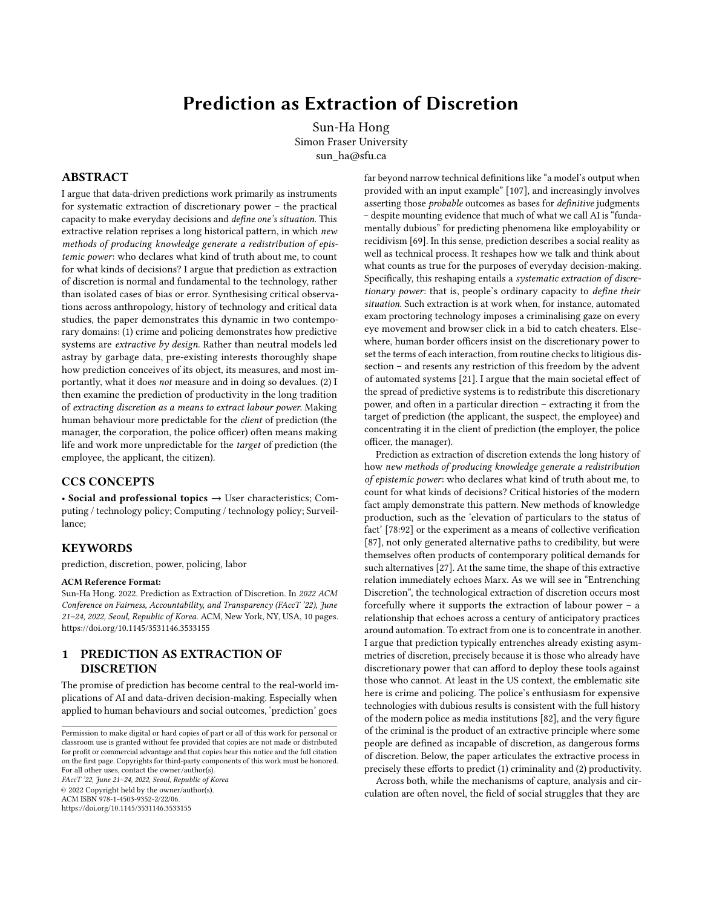funded to serve tend to be marked by continuity. Surveillance capitalism, currently one of the most common critical frames around prediction, describes not a seismic revolution, but a variation upon the theme that is capitalism itself [68]. We might raise a similar point with the very idea of AI ethics. The question of how to pursue ethical values in AI has increasingly raised the problem of how to define those values, and who should get to do that defining to what ends [\[6,](#page-8-2) [38,](#page-8-3) 54, 77]. Today, these definitional questions are being settled not in the proverbial roundtable of independent thinkers engaged in good faith, but a quagmire of industry-funded lobby groups (such as the Information Technology Industry Council), corporate ethics teams that mistreat and fire their own ethics experts (like Google), and active co-option of critical vocabulary into forms of ethics washing [\[39\]](#page-8-4). In terms of funding, computational resources and prestige, Big Tech "make[s] the water in which AI research swims" [101:53] – as visible not only in expensive signature projects like the Chan Zuckerberg Initiative's \$500 million donation to Harvard, but also the rapid growth of corporate affiliated authorship in AI research [\[8\]](#page-8-5). One result is that ethical concepts are narrowed and instrumentalised: bias becomes a form of numerical error to be corrected with better datasets, and ethics a bureaucratic checklist to be inserted into the production flowchart [\[8,](#page-8-5) 83] Often, paying for an AI prediction of productivity or criminality (which in many cases may or may not actually involve recognisably AI elements like machine learning) is less a way to establish a more objective foothold on future outcomes, than it is a way to reallocate discretionary power in one's favour.

But why prediction in particular, amidst the wider umbrella of data-driven technologies? Because it is at the vanguard of both (allegedly) concrete, real world benefits and the enveloping fantasy of long-term progress. The claim to predict a tangible 'problem' like recidivism or productivity promises a powerful empirical basis for thinking about new data-driven technologies as desirable and inevitable. We are told that algorithms will allow us to, for example, automatically analyse U.S. prisoner phone calls to predict violent crime and suicide [91]; identify suspect individuals based on their head vibrations[102]; use facial features to predict prospective employees' personality (HireVue); or conclude whether students are cheating or not in an online test (Mettl). This remains the case even when many such predictions remain unproven – or even specifically disproven. COMPAS, drawing from over 100 predictive features to predict recividism, performs about as poorly as laypersons' estimates [\[28\]](#page-8-6). New, AI-driven tools were celebrated as a potential difference-maker during the COVID-19 pandemic, but were found to be largely useless, plagued by poor input data and other fundamental problems [\[51\]](#page-8-7). Yet even as individual applications of prediction might be criticised and lampooned, such promises of real-world payoffs continue to generate emotional and cognitive investment in the idea of prediction (and through it, AI).

To better account for prediction's social existence, I describe it as a relational grammar: a way of thinking and talking about how facts are made, and who tends to declare those facts about whom. The dissemination of predictions generates distinct expectations about what accuracy or objectivity looks like when it comes to human behaviour. It follows that such a grammar prioritises certain kinds of truthmaking over others. The paper first turns to crime and policing to explore how predictive systems are extractive by design. Choices

in what kinds of predictive models are created to pursue what kinds of objects generate systematic disparities between what tends to get measured and what does not. Pernicious myths, such as that prediction disasters are generally dataset problems (the 'Garbage In, Garbage Out' (GIGO) argument), continue to obscure the ways in which prediction manages these conditions of possibility. Turning to efforts to predict productivity, especially by Amazon, I argue that making human behaviour more predictable for the client of prediction often means making life and work unpredictable for the target of prediction. The advent of data-driven systems is often described as an inevitable hyper-rationality, "render[ing] all agonistic political difficulty as tractable and resolvable" [\[3\]](#page-8-8). But in this equation, it is  $us$  – and our own discretion – that is being defined as the risk and error.

#### 2 PREDICTION AS RELATIONAL GRAMMAR

History of technology demonstrates that new technologies do not enter as blank slates, but that their meaning and usefulness are derived from preexisting social relations [65]. The social impact of technologies also tend to exceed their actual capabilities or implementation. The history of 20<sup>th</sup> century automation, for instance, was dominated by institutional and economic responses to what people expected automation to be and to do – responses which often persisted even when the technology never quite arrived in the expected way [53, 57]. Prediction is as much a way of thinking and talking about how we make facts, and who declares those facts about whom, as it is a set of calculative techniques. The struggle over these concepts – and the moral attitudes, affective orientations, and other pictures of the world embedded into them – shape our perceptions of what kind of technological arrangement is 'inevitable', or what kinds of reform, abolition, and alternatives are considered 'plausible'. The frequent declarations that everything about human beings can be predicted with enough data and computational power, or that such predictive machines will 'know you better than you know yourself', reflect and perpetuate these kinds of shifting norms.

Social life is so often driven by the disjuncture between the substance of what passes as true in a given context, and the sense of what kinds of things are likely to look, feel, smell true. Foucault famously distinguished between what statements are treated as true, and what statements are considered sayable in the first place. The latter are less likely to become visible as formalised rules; in the context of Kuhnian paradigms, Ian Hacking suggests that scientific communities operate through 'styles of reasoning', basic tendencies for relating things and making connections that undergird and often outlast any particular theory [\[44\]](#page-8-9). From this perspective, descriptions of a facial recognition tool as 'predicting' criminality, or a generative adversarial network as 'learning', are not simply (misleading) descriptions of technical method; they perpetuate a more basic sentiment about how things relate to each other.

But what does it mean to relate? The anthropologist Marilyn Strathern writes that the English word 'relation', in its modern sense, serves as something of a master instrument for thinking the world in terms of discrete phenomena which may be joined, separated, sorted, mixed, in highly modular and indiscriminate ways [95]. To say something relates conveys a strange neutrality about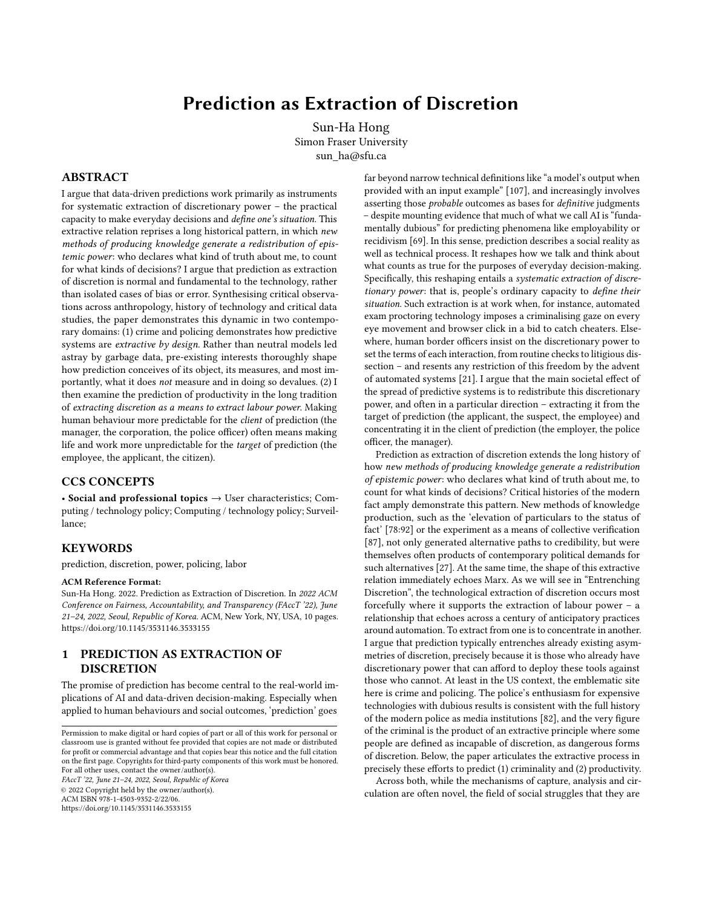the kind of epistemic operation that I am undertaking: it relieves the pressure of identifying a more precise process (such as 'extracts', 'subordinates', or 'causes'), and all the ethical and theoretical commitments that those designations would carry with them. (All this makes 'relation' an indispensable word for academics.) Similarly, in the context of big data and machine learning, prediction is funneled into a flexibly neutral space, where the scientist or engineer is required only to let 'the data speak for itself' and to document those relationships. And if the discovery – for instance, the use of facial recognition to predict sexual orientation – should facilitate clearly harmful uses of technology, it becomes easier to dismiss such consequences as things that simply could not be helped.

This very idea of modular, general relation is neither timeless nor universal. It is very much a modern way of seeing, and one which resonates with the long advent of quantification as a dominant method for understanding human and social phenomena [\[27,](#page-8-1) 79]. In this sense, the language of data-driven prediction imposes its own relational grammar: not so much the substantial claim that specific visual data of the face accurately identifies sexual orientation or criminality, for example, but the backgrounding tendencies in how we reason and model that makes it 'plausible' to try and predict one with the other in the first place. Dan McQuillan calls data science an 'organising idea' which imposes a very specific model of knowledge that he describes as neoplatonic: a "belief in a hidden mathematical order that is ontologically superior to the one available to our everyday senses" [67:254]. Others have described similar tendencies in terms of determinism [\[18\]](#page-8-10) and positivism [\[103\]](#page-9-1). While such worldviews are often demurred in polite conversation, they tend to persist in partial and half-avowed ways. As David Golumbia notes, only some people will claim that human beings are just like computers (i.e. 'the myth of computationalism'), but many more will flirt with the idea in practice [\[37\]](#page-8-11). Today, public polls continue to show widespread expectation that artificial general intelligence is imminent, or that automated prediction of phenomena like crime is inevitable [92, [105\]](#page-9-2). When Clearview AI's notoriously unethical facial recognition technology became controversial through a New York Times report, it was telling to hear one investor fall back exactly on this kind of broad article of faith: "Laws have to determine what's legal, but you can't ban technology. Sure, that might lead to a dystopian future or something, but you can't ban it." [52]

Crucially, any statement of data-driven systems as objective and consistent describes an aspirational ideal rather than actual practice [56]. In their history of scientific objectivity, Lorraine Daston and Peter Galison write that "all epistemology begins in fear — fear that the world is too labyrinthine to be threaded by reason; fear that the senses are too feeble and the intellect too frail". [\[23:](#page-8-12)372] Prediction as relational grammar does not simply dictate a smooth, totalising blanket of mathematical reason. Equally significant is what gets concealed or devalued in the process of imposing that grammar. Critical media scholar Tara McPherson calls it a lenticular logic, referencing the lenticular lens in old 3D postcards where one can flick between multiple images but never see them together. She argues that the history of computing – and its attendant lessons – are often sealed off from other domains [66]. Where McPherson takes up this point specifically around to race and computing, this also extends to how computing then imposes its own ways of seeing on those other domains. Bringing James Scott's celebrated work

on 'seeing like a state' [85] to artificial intelligence, Ali Alkhatib argues that the indiscriminate proliferation of a data-driven way of seeing adds up to an asphyxiating utopia: an expectation of calculability which drives out everything that does not fit. "The models AI researchers train and deploy construct worlds without space for the dimension of our lives that make us who we are" [\[2](#page-8-13)[:3\]](#page-8-8). How we attribute predictability – for instance, that a single statistical model can be 'scaled' to predict housing prices (Zillow) or 'suspicious eye movements' (Proctorio) across many different lives and locales – has direct repercussions for what kinds of actors are considered rational, and what kinds of behaviours are considered optimal. The grammar of prediction tends to prefer particular kinds of data and relations over others: a preference driven not purely on epistemic grounds, but by economic and institutional conditions that make some datasets and problems more available than others. In their critical history of AI's pursuit of 'generality', Raji et al. note that datasets which become treated as general benchmarks, like ImageNet and GLUE, are built not through rigorous definition of what is truly representative of the target reality, but look "more like samples of convenience" [81:[5\]](#page-8-14). Subsequently, any arbitrariness or partiality in such benchmarks tend to flow downstream into derivative applications in a 'blood diamond effect' [80]. These limitations are not purely technological in the sense that more diverse datasets and models are simply impossible; rather, they tend to replicate longstanding economic, political, and institutional asymmetries in what kinds of data and knowledge get produced, documented, reported, archived, in the first place. As Scott himself would later note: "legibility doesn't come cheap." [84:513]

## 3 EXTRACTIVE BY DESIGN

## 3.1 Bad questions

Prediction, like any knowledge regime, has a self-fulfilling element: it sees what it knows to see, and it measures what it can typically imagine measuring. These tendencies are shaped through longstanding economic and political asymmetries, whose influence is regularly written off as uncertain and uncontrollable 'externalities'. When prediction troubles get compartmentalised as 'just a dataset problem', they obfuscate how patterns of extraction shape the research questions and the choice of what to measure (and what to dismiss without measuring). When predictive successes are defined as 'beating' humans in tests of accuracy, they reify the model's own parameters as the world that matters, further burying these externalities beyond consideration.

The sociologist Luc Boltanski, with Laurent Thévenot then Eve Chiapello, has shown how capitalism constructs regimes of justification: the rules of the game by which we assess its own success and failure. Such regimes are also exercises in managing expectations [\[9,](#page-8-15) [10\]](#page-8-16). We learn to feel that it is surely unrealistic to expect that an employer will not squeeze its workers as hard as they can to maximise profit, or that if a technology is more 'accurate', then it must serve the common good. Some researchers have already adapted Boltanski's notions to contemporary technoculture, showing how technologies like hiring systems provide justificatory scaffolding for firms [\[26\]](#page-8-17), and help maintain collective belief in aspirational values like convenience and speed [59]. Prediction is so valuable precisely because it offers both the technical mechanisms and the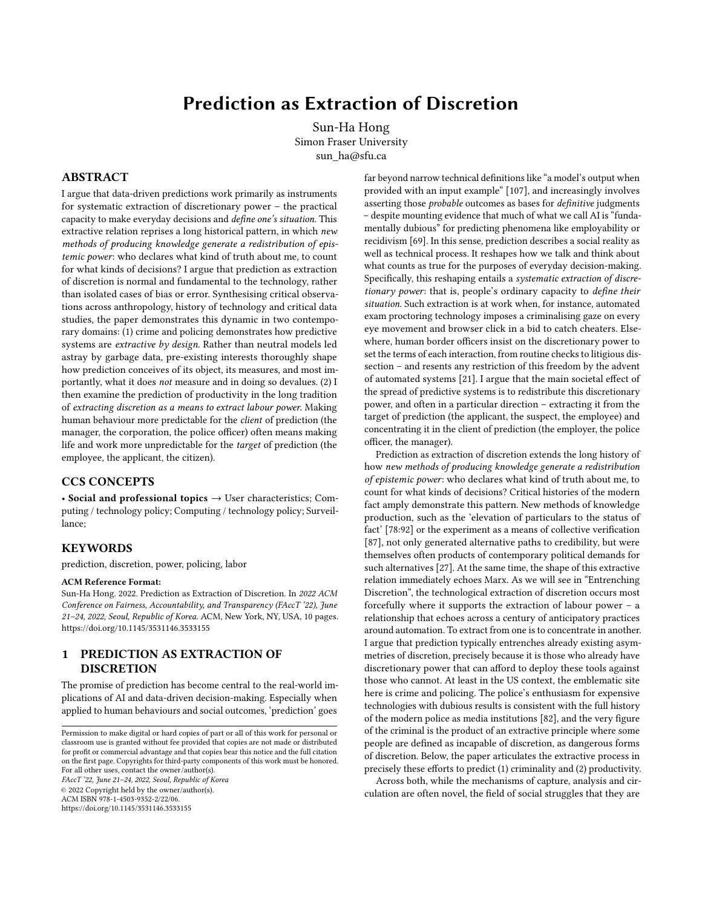logic of justification through which pre-existing extraction of discretion can be replenished. This motivation is the starting point for the shape that predictive systems tend to take today – not the side effect.

Consider the concrete ways in which claims of data-driven prediction actually appear in social life today. Prediction regularly appears as an epithet of approval, in which the technique du jour (such as convolutional neural networks) is rapidly scaled onto an improbably wide range of complex social situations. Such claims often derive their attractiveness precisely by claiming to clarify human behaviours and propensities that have long remained contested and ambiguous. Crime and policing are emblematic, partly because the very history of crime as a measurable object, and of modern policing as an institution, is defined by this project of extracting discretion. In one notorious case, a 2020 Harrisburg University press release claimed that "with 80 percent accuracy and with no racial bias, [their] software can predict if someone is a criminal based solely on a picture of their face."[1](#page-3-0) Although this particular study was rejected by Springer, the publisher, following international criticism [\[50\]](#page-8-18), efforts to graft machine learning tools onto physiognomic worldviews are increasingly common [\[1,](#page-8-19) 94]. The Harrisburg study was a norm, not an exception; it followed a now familiar grammar which effectively reduces any human condition into discrete empirical states. In this logic, 'criminality' appears as a state that inheres in the person, echoing centuries of imputation of bad blood or evil affliction. A similar exercise is performed with the human face, usually by relying on a variation of the facial action coding system (FACS) and its systematic reduction of facial expressions into objective, decontextualised data points [\[34:](#page-8-20)168]. Once frozen into such ossified forms, it only remains to demonstrate some statistical relation between the two artificially stable objects ('face' and 'criminality') to complete the equation.

On the surface, predictive systems rarely admit any commitment to a specific theory of criminality or the face. The grammar of data-driven prediction allows, even encourages, the researcher to avoid asking such questions in the first place – the argument being that it is unnecessary to understand what criminality is as long as we can produce actionable measurements bearing its name. Orit Halpern's history of cybernetics recounts computation's long rearticulation of objectivity away from the pursuit of 'external truth or reality', and towards a calculable grid of action, measurement, and replication [\[46:](#page-8-21)83]. This refusal to theorise is often claimed as an apolitical and amoral path; in reality, the very choice to predict the social enters into a politics of erasing ambiguity [\[7:](#page-8-22)10-11]. Articulating criminality or productivity as an object of prediction invariably leverages working definitions and heuristics already employed by the investors, engineers, and entrepreneurs involved in the production process – but rarely those of 'targeted' populations [\[20\]](#page-8-23).

## 3.2 Bad measures

What kind of data tends to be easily available for what purposes? As critical researchers of race and technology have shown with particular clarity, pre-existing inequalities shape what kinds of predictions roam the world in the first place, endowed with what kind of legitimacy [\[5,](#page-8-14) [16\]](#page-8-24). To suggest that the neutrality of data or algorithm cleanses predictions of their own historical provenance effectively describes a variation of money laundering: all of the decisions involved in any predictive system, from what kind of data is(n't) gathered to who the 'insights' are sold to, are dismissed as somebody else's problem. The model output, like 'clean' money, can then present itself as a neutral object of use. But far from wiping the slate clean when it comes to crime and prejudice, such practices must necessarily rely on existing records and practices to source the data, and are thoroughly shaped by longstanding institutional approaches to crime and patrolling. Ben Green describes how one University of Southern California project began by seeking to predict 'adversarial groups' like ISIS, but soon pivoted to targeting 'criminal street gangs'. They ended up drawing data from the notoriously problematic LAPD gang data for the model, effectively amplifying and legitimating those biases [\[38\]](#page-8-3). All this happens despite the fact that "there is no agreement as to what predictive [policing] systems should accomplish  $[::)$  nor as to which benchmarks should be used", and even if there were, "like all evaluations of police technology, confounding factors make it impossible to measure directly its effectiveness at reducing crime." [88:459]

At the same time, those who develop and sell these surveillance technologies are incentivised to constantly produce useful justifications around the dangerousness of crime and the necessity of advanced policing. Technologies like PredPol and ShotSpotter are directly sold to law enforcement clients, preying on their own anxieties about being left behind and their perpetual interest in expanding budgets [\[3:](#page-8-8)2-4]. Other data-driven tools lead with consumer-facing 'safety' services as a way to extract different kinds of urban data. The poster child here has been Ring, acquired by Amazon in 2018, and notorious for hawking its user data from individual door cameras to local law enforcement. Platforms like Ring's Neighbours incite their userbase into forms of 'digital vigilantism' [96] in which ordinary people are encouraged into producing the neighbourhood alerts, video footage, and other 'data' that populate a picture of the world in which crime is always just around the corner – a picture which may then be sold back to the users and even law enforcement. Citizen, the most aggressive company in this space, repackages dramatic cases of crime thwarted into 'magic moments' for consumption, and even deploys 'street teams' into new areas to produce crime content [\[4\]](#page-8-25). With Amazon Ring signing up over 400 local police departments for two-way data sharing [\[49\]](#page-8-26), or Nextdoor encouraging users to pass on their data to the police [55], these systems create new, 'efficient' pathways for connecting existing prejudices, perverse economic incentives with the aura of technological innovation [\[15\]](#page-8-27).

So the choice of what to measure and how to measure it caters to these existing social scripts, often entrenching their distribution of differentially discretionary subjects (the suspect, the 'bad' neighbourhood, the police officer: : :). The corollary is that this is not simply a zero-sum game, where greater automation or rationalisation leads to less discretion. Rather, the deployment of predictive systems can serve to protect and relegitimise bureaucratic discretion by integrating those judgments into the system. The move towards data-driven policing often involves new systems of documentation and data-collection, as well as existing data taking on new uses and importance – following a longer pattern of modern

<span id="page-3-0"></span> $^1\mathrm{An}$  archived version of this press release can be found at:<https://archive.is/N1HVe>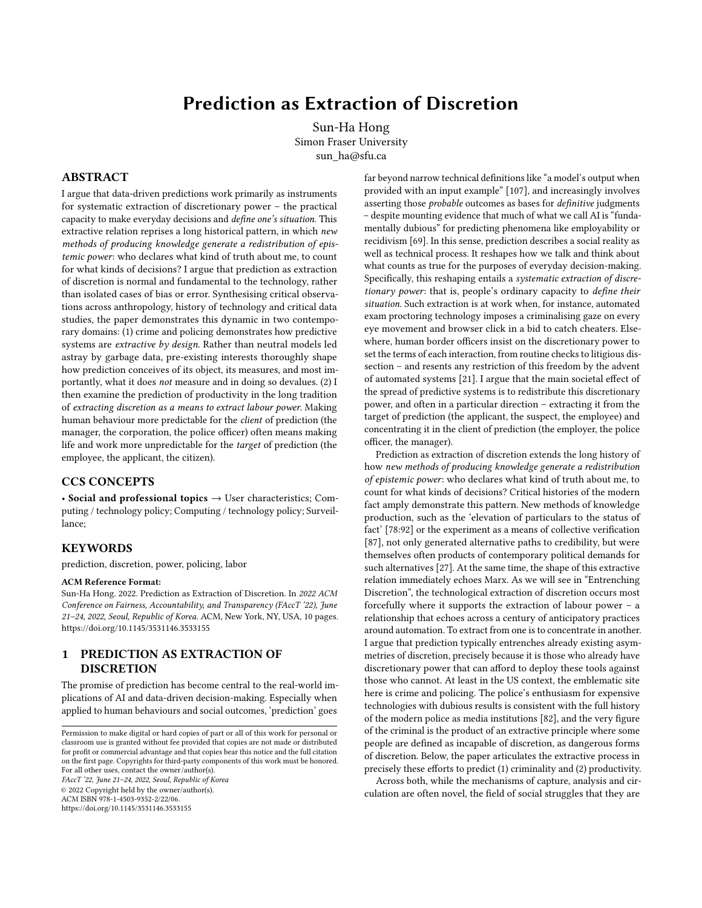policing as police media [82]. The mundane work of documenting, photographing, and 'writing up' targets thus becomes a site where police workers' discretion feeds into large data-driven systems. For instance, consider the LSI-R (Level of Services Inventory-Revised), a longstanding risk assessment tool for predicting individuals' likelihood of recidivism. One version used by the Idaho Department of Correction [\[110\]](#page-9-3) shows how details like prior convictions, "dissatisfaction with marital or equivalent situation", or "unfavourable attitude towards convention" contribute to the quantification of individual risk. Each measure requires interpretive work, some more than others: a score of 1 out of 3 in 'peer interactions', the training documents explain, would describe an offender who "actively dislikes co-workers or has only limited contact with them [::: and] often lets angry feelings toward others build up inside." In practice, LSI-R has fared poorly in tests of inter-rater consistency, and evidence suggests its correlation with recidivism is low [\[48:](#page-8-28)82-3]. When predictive models are baked into decision-making processes, they do not simply shift the entire apparatus towards inhuman objectivity, but rather empower new norms around who gets to impose their discretion upon whom. Often, the promise of data as a universal illuminator conceals the reality in which it is data for me, and not for thee; more predictable production for the client of production, at the expense of less predictable conditions for the target.

## 3.3 The unmeasured

The common thread running throughout these different sites of data production is that where the police remains the primary purchaser of these predictions, the kind of data and models we "get" as a society will invariably reaffirm their definitions of crime and safety. Conspicuously missing in this thriving industry, for instance, is any effort to improve the disastrous undercollection and invisibility of data around police violence and misconduct. Kelly Gates writes that such asymmetry in the sheer availability of data entails a 'symbolic annihilation' [\[35:](#page-8-29)4], in which one's experience is not simply underappreciated, but directly overwritten by police-oriented data production. From Michael Brown and Eric Garner in 2014 to George Floyd and Breonna Taylor in 2020, high-profile police killings of Black Americans precipitate repeated debate around just how prevalent such killings are. Yet each time, it is data on Black crime that tends to be readily available – while data on police misconduct and violence is underfunded, neglected, and sometimes actively suppressed. Even as protestors demanded widespread reform in the wake of George Floyd's death, Chicago's police union was working to destroy records of police misconduct – as they had been doing for years as part of their contract with the city [\[47\]](#page-8-30). Investment in predictive policing and other new technological systems also tend to come hand in hand with more funding for the police to produce the kind of data that they would prefer to exist – from scoring systems to identify the 'worst of the worst' offenders, such as LAPD's Operation LASER [\[12\]](#page-8-31), to algorithmically generated 'heat lists' that purport to predict 'likely' perpetrators and victims, such as those used by the Chicago Police Department [\[17\]](#page-8-32). Palantir's success at winning contracts from law enforcement and intelligence agencies around the globe, including working with ICE to identify subjects for deportation [\[109\]](#page-9-4), exemplifies this disparity in what kind of

data gets to exist in the first place. These technologies further generate a vicious feedback loop of legitimation by "assum[ing] the credibility of the underlying crime data—and the policing methods that generate that data in the first place." [\[17\]](#page-8-32)

As the Data 4 Black Lives movement has repeatedly shown, such asymmetries condemn certain kinds of suffering and lived experience as 'merely anecdotal', forced to an uphill struggle to count as 'data', while the police receive the numbers they need by default. Samuel Sinyangwe, co-founder of Mapping Police Violence, describes the recurrent barrier: 'How often have you heard, "We don't have the data. We don't know if what you're telling us is true."' [\[31\]](#page-8-33) While more robust databases of police misconduct are becoming publicly available, they tend to come from small, independent alliances of researchers, journalists and activists working with limited resources. While the police are legally obligated to produce some kinds of misconduct data, they routinely engage in strategies of obfuscation and delay, turning theoretical availability into practical absence [\[22\]](#page-8-34). As a result, whatever becomes transparent about those killed by police — their misdeeds, their personal life — tends to be far more exhaustive than the data we can get about the police themselves [\[36\]](#page-8-35). Predictive systems are often used to delegitimise the kinds of lives and experiences that are already too disadvantaged to generate rich 'data' in the first place.

Again, these consequences don't simply follow from who is targeted by predictive technologies and who isn't. The experience of the predicted also varies depending on what kind of existing pool of discretionary power they can draw upon. Where many of the best known cases involve predictions of criminals, suspects and citizens, other tools target these instruments on police workers themselves (or, as in cases like PredPol, do both in tandem). Researchers have shown how the advent of predictive policing technologies provokes anger and resistance from the officers. As their managers hail a paradigmatic shift from 'intuition-based' to 'data-driven' policing [\[13:](#page-8-36)56], some police workers perceive this as threatening the spaces in which they could previously exercise their discretionary power, resulting in "experiential devaluation and increased managerial surveillance." [\[14:](#page-8-37)[2\]](#page-8-13) We thus find them pushing back against third-party tech innovations, arguing that the data junkies do not understand the lived reality of policing [89:182-3]. Others engage in everyday acts of worker sabotage and resistance, such as by refusing to use the automatic vehicle locator and preferring to call in manually once at a location [\[14:](#page-8-37)[9\]](#page-8-15). This, of course, is only possible due to the amount of discretionary power police officers retain around the use of predictive systems; the gig workers on DoorDash or students in a 'smart' school are systematically denied the possibility. For people who have traditionally been deprived of discretionary power, then, prediction arrives as a double blow. The technology is often designed and funded specifically to intensify this existing relation of extraction, and that extraction leaves them least able to contest, evade, or renegotiate the consequences of these predictive judgments.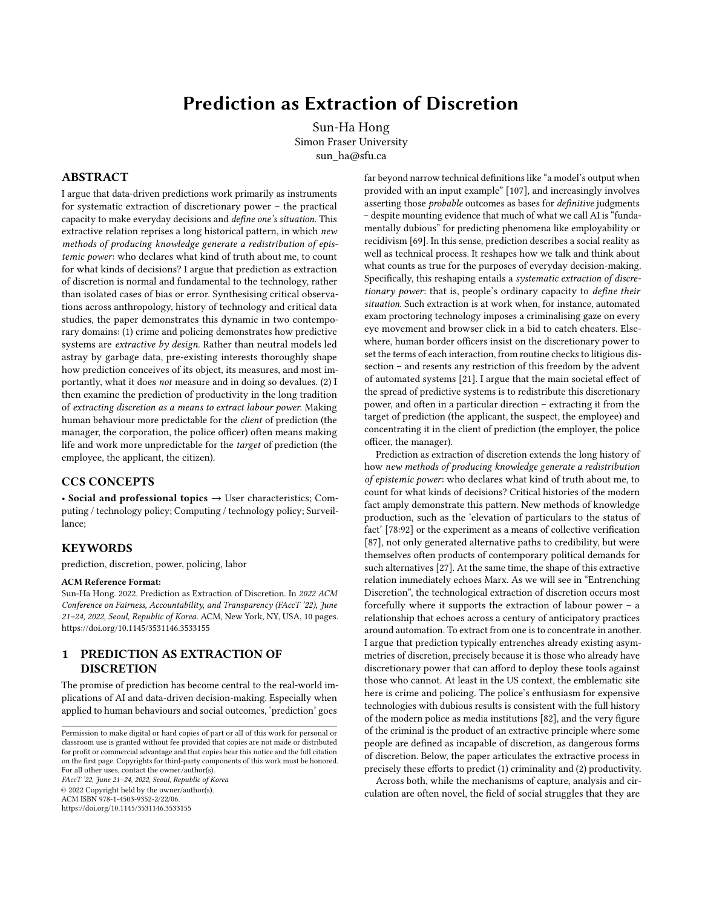## 4 ENTRENCHING DISCRETION

#### 4.1 Defining the situation

Predictive technologies are typically wielded to rationalise judgment, in both common senses of the word: they establish rulesbound processes for decision-making, and further provide scripts for justifying that judgment to insiders and outsiders. This joint function indelibly links prediction to discretion. Predictive systems, by definition, reconfigure the existing distribution of decisionmaking relations: whose 'gut feeling' overrides whose? Which parts of the decision are considered sufficiently unknowable that they are open to (unequal) negotiation, and which parts become considered set in stone because the data has spoken?

It is not that prediction always enforces formalisation and Kafkaesque inevitability at the expense of discretion. Rather, prediction serve to reallocate discretionary power across different actors, and additionally to obfuscate the continuing role of discretionary power in decision-making. In an analysis of data-driven decisionmaking in European 'smart' borders, Alexandra Hall writes that discretion and rule 'mutually constitute one another.' [\[45:](#page-8-38)493]. The word 'discretion' has a complex etymological relationship with various meanings of separation or discrimination, shaping common use today as the ability to determine what is appropriate to a given situation. In particular, it describes the ability to determine how a rule might apply (or not) to the case at hand. Thus in legal scholarship, Ronald Dworkin memorably defined judicial discretion as the judge's ability to 'choose a solution' [\[29\]](#page-8-39), while in sociology, Michael Lipsky's influential study of 'street-level bureaucrats' describes discretion as means of mitigating and coping with the tension between document and person, government agency and individual needs, that dominates the everyday work of bureaucracy [63].

The key point is that prediction and discretion can be used to regulate each other, rather than being locked into a static relation. Police departments might commission predictive systems to relegitimise their existing discretionary practices upon the urban poor, while workplaces might see it more as a way to suffocate workers' control over their work process. Discretion is not a relief from control any more than prediction renders judgment objective. Foucault makes this lesson clear in his analysis of illegalisms: the extralegal, informal, tacit agreements by which participants profit from or cope with the demands of regulated and official relations [\[32\]](#page-8-40). Yet illegalisms often do not represent an escape from the rule. Authorities might tacitly rely on black markets to supply goods when regular markets falter (as has often been the case in, say, North Korea in recent decades); police workers might tolerate some misdemeanours to focus on others. When Foucault says "respect for legality is [itself] only a strategy in this game of illegalism" [\[32:](#page-8-40)144], we might say similar of institutions' respect for data or algorithmic judgment.

But it would be rather subjectless to say that discretion manages the rule and leave it at that. Discretion may allow the judge to choose a solution from the rule, but that also means the defendant is bound to obey both the rule and the discretion that went into its deployment. Kohler-Haussmann's analysis of misdemeanour prosecutions in New York City demonstrates how defendants, once captured through a parking ticket or turnstile jumping, get sucked into not simply the opprobrium of rule and all its painstaking requirements, but the prosecution's ability to exercise discretion over that rule. Hence William Stuntz' famous dictum that criminal law constitutes "items on a menu from which the prosecutor may order as she wishes" [60:[12\]](#page-8-31). Street-level bureaucrats might employ discretion to relieve some of the stupidity of the rule, or to mitigate their own working circumstances, but they can also wrap their own discretionary judgment in the cloak of the rule to enforce it upon the citizen.

Discretion, in other words, describes the always unequal distribution of the power to define the situation: which bodies are immediately and tightly fastened to the regimes of visual surveillance and statistical correlation without appeal, and which bodies retain wriggle room, perhaps through the aid of a sympathetic human clerk and other forms of cultural capital? After all, the very justification for the deployment of predictive systems in the first place elevates data and interpretation above other kinds of evidence. This remains broadly true even where model outputs are subject to human review. A risk scoring system for child abuse and neglect may only issue non-binding recommendations, but they will tend to nudge and influence the judgment of overworked social workers, as well as how they justify their discretion to themselves and others [\[30:](#page-8-41)141-2]. And however probabilistic the insight, the decisions that result from them are singular and binding for each individual. Extraction never simply withdraws something from somewhere; it also means empowering some at the expense of others.

#### 4.2 Predictable workers, unpredictable work

I now turn to efforts to predict productivity and worker behaviour. As I noted in the beginning, prediction's transfer of discretion from the target of prediction to its client often dovetails with other historical patterns of extraction, and in particular, that of labour power. Consider the case of Amazon. As the fifth largest private employer in the world as of 2020 [90], Amazon is both test-bed and ground reality for prediction as the extraction of worker discretion. Its warehouses ('fulfilment centres') and delivery networks exemplify the synergy between intense, data-driven automation of labour on one hand, and the systematic deprivation of information, predictivity, and discretion for the workers on the other. For the former, the master metric is "the rate": individual performances like boxes stowed, picked or packed per minute and hour. The rate is prominently cited as a reliable base measure for decisions including the hiring and firing of individual workers; it provides an always available source for justifying Amazon's abnormally high rate of firings [61] - which themselves are increasingly automated [93]. Yet notably, the exact rate that a worker must hit at a given warehouse is never disclosed to the workers themselves. Sociologist Nantina Vgontzas, who has worked at Amazon warehouses as well as joined in workers' organising efforts, recounts being trained against the rate of 400 picks per hour – and later being told by a human trainer that the actual expectation was around 360 [97]. Meanwhile, the demand for a machine-readable and predictable labour rate is further enacted through sensory opprobrium. Coloured graphs warn employees to work faster; 'project loving energy', counsels a workstation screen [\[24](#page-8-42):56].

These quantified expectations governing the algorithmic workplace cater to managers and employers' desire for a certain kind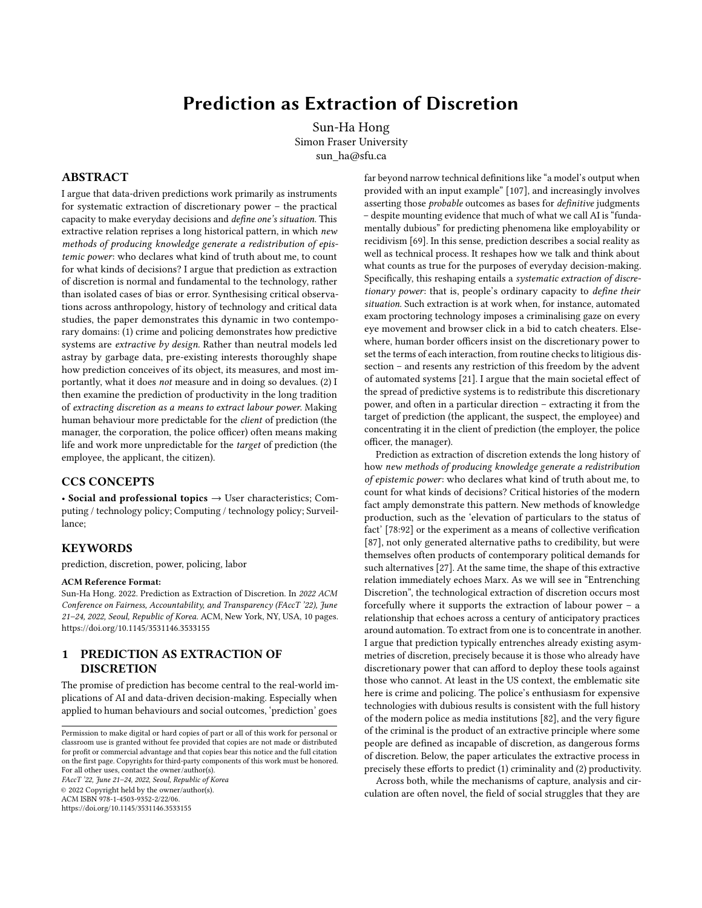of inhuman clarity, in which the many variations and ambiguities inherent in any act of labour are not actually eliminated, but erased, delegitimised and neglected. The consequence is that for the worker, their own work and life becomes both less predictable and less discretionary [\[33\]](#page-8-43). The Amazon 'picker' is constantly adapting to the algorithmic redistribution of boxes and goods, unable to accumulate their own rhythms for effective and safe work. Journalist Alec MacGillis relates the story of Hector Torrez, a San Francisco tech industry professional turned Amazon warehouse worker: "the challenge wasn't so much the weight as that you couldn't really tell, based on size, whether a box was going to be heavy or not when you went to pick it up. Your body and your mind never knew what to expect." [64[:4\]](#page-8-25) This deprivation of someone's ability to anticipate, plan, and adjust their own conditions of working and living, shows clearly that social realities don't simply become more or less predictable, but that becoming predictable for some often comes at the expense of others.

This disparity in control results in all too familiar harms to working conditions. Amazon's warehouse workers have long experienced significantly higher rates of severe injury compared to industry competitors [\[40\]](#page-8-44). Amazon's delivery drivers are subject to similar factors: top-down dictations of punishing rates, sometimes of up to 400 deliveries per 10-hour shift, provide profits at the macro level, while workers pay in the form of extraordinarily high injury rates, and the now infamous practice of drivers having to pee in bottles or trash bags to meet the rate [\[43\]](#page-8-45). Amazon's response to these problems tend to intensify this dynamic of profit-oriented datafication. In 2021, Jeff Bezos' final letter to shareholders as CEO of Amazon prescribed "new automated staffing schedules that use sophisticated algorithms to rotate employees among jobs that use different muscle-tendon groups" [72] – a solution that would implement new forms of unpredictable, opaque decision-making on behalf of workers while retaining the non-negotiability of 'the rate' and the punitive overall level of productivity.

Amazon may be a pioneer in the algorithmic destruction of workers' bodies, but the underlying economic and technical incentives are not at all unique. Coupang, South Korea's answer to Amazon (though heavily dependent on SoftBank's Saudi-backed funds, as is the case for many Silicon Valley companies), has also seen rocketing stock value and a reputation for superfast delivery on the back of algorithmic surveillance, high rates of workplace injury, and several workers that have died of overwork [62, 86]. In delivery platforms like DoorDash, the on-demand worker is shephered into surge areas in one moment, then made to kick their heels curbside in another, never knowing how much they'll make or how to pace their work [\[41:](#page-8-46)7,89:2]. Chinese food couriers, working for platforms like Ele.me and Meituan Waimai, describe sudden periods of intense pressure in which a delay of seconds might cost several orders' worth of pay – the result of a business and technological model which profits from its ability to "stratif[y] the value of people's time" in rapid, finely-grained ways, extracting every possible sliver of 'downtime' [\[19:](#page-8-47)1563]. For the worker, it is their lived time chunked up into a pulsating mess of alarms and nudges, distractions and panic; for the manager and employer, it is a vast predictive matrix which externalises everything that the model would prefer not to predict (such as apartment complexes that refuse to let gig workers on their elevators, or inadequately represented crossings and road

conditions) and funnels the cost to the worker. What the model refuses to count cannot surprise it.

## 4.3 The history of the measured

This disparity between the predictor and the predicted reprises over a century of labour struggle – throughout which the extraction of discretion has served as a crucial instrument for the extraction of labour power. Alessandro Delfanti suggests that automation separates the worker from their skills and knowledge – a separation which then enables the factory to operate with deskilled workers, and to turn that information around to evaluate and control worker behaviour [\[25\]](#page-8-48). In Amazon warehouses, human 'stowers' handle incoming items of staggering variety, grouping them into bins in giant 'pick towers' – a task that involves a certain degree of discretionary judgment. When this process is laced with data-gathering systems, however, each worker action – such as the stower's scanning of the item, their rate of pieces per hour, their bathroom breaks – provides data grist for improving data-driven predictions of the stowing process. Individual judgments and tacit knowledge are siphoned into a unique source of knowledge for managers, but not for the workers themselves; as we have seen above, the question of what the rate really is at any given time is for the manager to know and the worker to wonder. The key innovation is not merely to pack seven boxes instead of six, but ensuring that it is the manager who can set the 'rate' of seven, or eight, or two hundred, rather than the worker.

This dynamic runs right through the history of modern automation. Harry Braverman's Labour and Monopoly Capital argues that this separation was one of the key legacies of Charles Babbage, and his argument that any labour process should be subdivided into ultra-fine fragments, such that each fragment could be regulated for minimal cost and maximum labour [\[11:](#page-8-49)55]. Not only does this presage contemporary microwork, Babbagification also requires ever more detailed apparatuses of measurement and justification through which those fragments can be priced and punished. For instance, David Noble shows how General Electric's postwar investment into machine shop automation was an explicit response to the success of nationwide union strikes in 1946, and the fear that skilled workers are able to exercise discretion over the conditions of their workplace and to make demands of the employer [70]. GE Vice President Lemuel Boulware, whose name would become the label for its aggressive anti-union strategies of 'Boulwarism', argued that the company must "eradicate" the "fantasy" that "the employees : : : were in the driver's seat." [70:156] Such attitudes shaped what kinds of automation technologies would be accepted, and which functioning alternatives would be consigned to obscurity. GE's favoured 'record-playback' approach to automation eventually lost out to numeric control in part because the managers and employers making the acquisition decisions wanted automation systems to transfer discretionary power away from the worker. In one instance, GE designed an automation system for a steel company, only for the client to complain that "operators were [still] controlling production, determining the output", engaging in well-worn techniques of 'stints' and 'pacing' (worker-determined production quotas and rates) [70:164].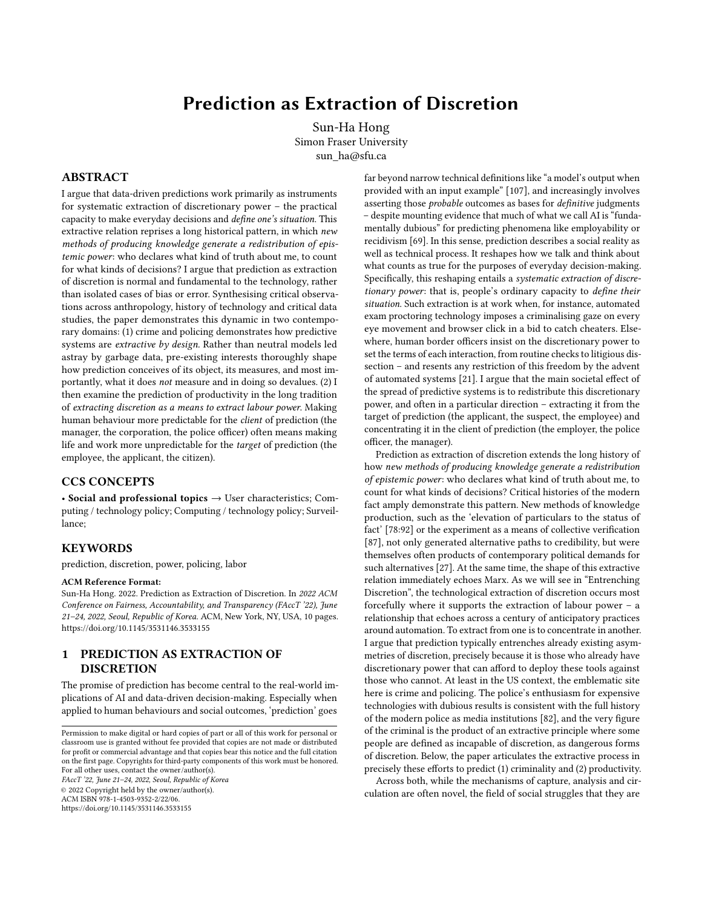Here we return to the earlier point that there is always a choice to be made as to what kind of data is and is not collected, and what kind of predictions are made available for decision-making. Amazon exemplifies how it is not just possible, but profitable to produce cutting-edge data systems when they serve its goals for extracting worker control and discretion, and to actively pursue incompetence and negligence when it does not. During much of the ongoing COVID-19 pandemic, Amazon warehouses have refused to collect and disclose basic data about which of its workers had tested positive for the coronavirus. In one warehouse in Pennsylvania, managers initially informed workers of each new case, before stopping after around 60 – claiming that sharing the information 'made no difference'. [99] One Amazon VP insisted that "it's not a particularly useful number", but that their warehouses' rate of infections was "just under" community rates [71]. Such rhetoric draws from Big Tech's well-established playbook of professing ignorance about inconvenient kinds of data, while jamming public debate with unverifiable statistical claims. In this same period, Amazon has moved quickly to expand its collection of data that it considers more 'useful' – including, for example, efforts to score and measure 'risk of unionisation' by employees in its Whole Foods subsidiary [76], and installing Pinkerton spies in warehouses around the world [\[42\]](#page-8-50).

A company like Amazon – an emblem of our age for the promise of scaling data and technology to heretofore unimaginable wealth – thus exemplifies how the commitment to prediction and calculation is never universally consistent. When predictive systems are hailed as efficient or sophisticated, this describes not so much their ability to objectively measure the realities of production, but their ability to discount the less profitable aspects of that reality. In all this, Amazon faithfully follows the long tradition of Silicon Valley's production industries, where low-paid, primarily migrant workers have long suffered from toxic exposures and resulting illnesses, and the data around those conditions actively delegitimised and suppressed by their tech employers [75:100-1].

These recurrent efforts to separate the worker from their discretion, and to wield prediction as an asymmetric instrument of control rather than collective transparency, come hand in hand with entrenching cultural tropes about the nature of the worker and what is necessary to make them work. As with crime and policing, such presumptions enter into the social life of prediction before and beyond any question of statistical bias in a dataset or the appropriateness of particular object labels. One persistent pattern across many seemingly disparate applications for predictive technologies today is that the promotion of 'cutting-edge AI solutions' leverages and amplifies a pre-existing fantasy that criminalises the targets of prediction. The worker is presumed to be, by default, a potential thief (of wages via low productivity, or directly of company property). Amazon has consistently cited package theft by delivery drivers as a key motivation for its Ring door cameras [\[108\]](#page-9-5), pushing that fear onto consumers as a way to sell the devices [\[15:](#page-8-27)5]. This is now extending to driver surveillance. In March 2021, Amazon began forcing its drivers to sign away 'biometric consent' to keep their jobs, authorising a new suite of surveillance tools including claims of AI detection for 'risky driving behaviours', in addition to existing means for tracking and evaluating their rate of delivery

[98]. Perhaps the most strikingly explicit example of worker criminalisation as incentive for predictive technologies comes from an anonymous Microsoft engineer, who describes traveling to Kazakhstan to advise an oil production partnership between the Kazakh state and Chevron. After giving a presentation on possible uses of AI/ML technologies for mapping the ground to identify oil sources, the engineer finds that the managers in the room – mostly American expats – were actually far more interested in AI-driven worker surveillance. Their presumption was clear: "We have a lot of workers in the oil fields. It would be nice to know where they are and what they are doing  $[::]$  If they are doing anything at all", said one. [\[104\]](#page-9-6) The worker is the suspect, and it is this *a priori* declaration that determines what role the data will play to begin with.

## 5 PREDICTING TO STAY THE SAME

Prediction grammatises – renders flexibly replicable, habituates, provides a template for – a widespread extraction of discretionary power: the spaces of practical ambiguity, the gap between rule and case, the moments of situational judgment, that were always unequally distributed across different subjects in the first place. From predictive approaches in policing and incarceration to their analogues in workplace surveillance, we find a consistent pattern. It is the subjects of measurement are preemptively defined as objects of suspicion and danger, whose exercise of discretionary power over their own circumstances is primarily seen as a source of unwelcome uncertainty. All this 'seeing' is done from the perspective of the managerial clients of prediction, for whom systems of datafication offer new ways to entrench their desired definitions of a productive worker or otherwise 'good' subject as neutral and objective facts.

When understood as a transfer and entrenchment of discretionary power, data-driven prediction appears more clearly as a literally conservative extension of longstanding strategies for social control, rather than any radically novel means for reducing human bias and irrationality. In Forces of Automation, David Noble relays a definition of workplace automation from none other than Peter Drucker, perhaps the closest available personification of corporate managerial logic: "what is today called 'automation' is conceptually a logical extension of Taylor's scientific management [in which] productivity required that 'doing' be divorced from 'planning'." [70:231] Far from revolutionising this long project of worker deprivation, predictive technologies entrench them. In police surveillance and risk assessment, too, what matters is the choice of which numbers are collected in the first place: technology like body cameras can theoretically deliver impartial evidence around police conduct – but not when the police retain and exercise the practical power to turn cameras off citing 'malfunction', or refuse to release timely and unredacted footage [74, [106\]](#page-9-7). As Mimi Onuoha has observed, the abundance of video footage and other data around police violence against Black people in the United States has failed to lead to a 'great awakening' around institutional racism, because data can never speak truth to power on its own [58, 73].

To adapt Joseph Weizenbaum's famous dictum on computing, not everything that can be predicted should be predicted [100:x]. The very act of declaring something predictable, of turning it into a prediction 'problem', already establishes the conditions forextraction. Turning a remote education situation, or the allocation of police resources in a city, into a prediction problem means deploying a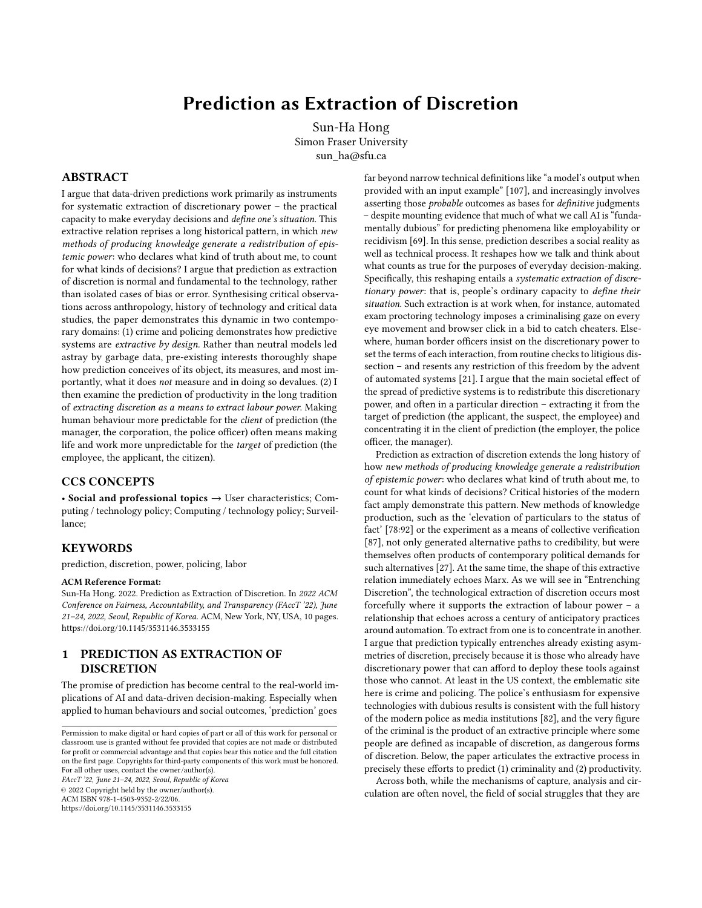well rehearsed template for decision-making in which the clients of prediction are empowered to consistently speak over and speak for the targets of prediction: the entrepreneur and venture capitalist over the students themselves, the police departments over inhabitants of overpoliced neighbourhoods, the managers and executives over warehouse workers. As technologies like facial recognition increasingly impose themselves over diverse social situations, they deliver not a hyper-rationalised environment in which the data speaks for itself, but a thin refurbishing of familiar asymmetries in which the same few might continue to judge the many with impunity.

# ACKNOWLEDGMENTS

This paper is an accidental byproduct of research conducted through the Canadian Social Sciences & Humanities Research Council grant 430-2019-00078, "Personal Truthmaking in the Data-driven Society".

#### **REFERENCES**

- <span id="page-8-19"></span>[1] Blaise Agüera y Arcas, Margaret Mitchell, and Alexander Todorov. 2017. Physiognomy's New Clothes. Medium. Retrieved from [https://medium.com/@blaisea/](https://medium.com/@blaisea/physiognomys-new-clothes-f2d4b59fdd6a) [physiognomys-new-clothes-f2d4b59fdd6a](https://medium.com/@blaisea/physiognomys-new-clothes-f2d4b59fdd6a)
- <span id="page-8-13"></span>[2] Ali Alkhatib. 2021. To Live in Their Utopia: Why Algorithmic Systems Create Absurd Outcomes. In CHI Conference of Human Factors in Computing, ACM, Yokohama, Japan.
- <span id="page-8-8"></span>[3] Louise Amoore. 2020. Cloud Ethics: Algorithms and the Attributes of Ourselves and Others. Duke University Press, Pittsburgh.
- <span id="page-8-25"></span>[4] Boone Ashworth. 2020. Inside Citizen, the App That Asks You to Report on the Crime Next Door. Wired. Retrieved from<https://www.wired.com/story/citizen/>
- <span id="page-8-14"></span>[5] Ruha Benjamin. 2019. Race After Technology: Abolitionist Tools for the New Jim Code. Polity Press, Cambridge.
- <span id="page-8-2"></span>[6] Elettra Bietti. 2020. From Ethics Washing to Ethics Bashing. In FAT\* '20: Proceedings of the 2020 Conference on Fairness, Accountability, and Transparency, Barcelona.
- <span id="page-8-22"></span>[7] Abeba Birhane. 2021. The Impossibility of Automating Ambiguity. Artif. Life 27, (2021), 1–18.
- <span id="page-8-5"></span>[8] Abeba Birhane, Pratyusha Kalluri, Dallas Card, William Agnew, Ravit Dotan, and Michelle Bao. 2021. The Values Encoded in Machine Learning Research. (2021). Retrieved from<http://arxiv.org/abs/2106.15590>
- <span id="page-8-15"></span>Luc Boltanski and Eve Chiapello. 2007. The New Spirit of Capitalism. Verso, London.
- <span id="page-8-16"></span>[10] Luc Boltanski and Laurent Thevenot. 2006. On Justification: Economies of Worth. Princeton University Press, Princeton.
- <span id="page-8-49"></span>[11] Harry Braverman. 1998. Labor and Monopoly Capital: The Degradation of Work in the Twentieth Century (25th Anniv ed.). Monthly Review Press, New York.
- <span id="page-8-31"></span>[12] Sarah Brayne. 2017. Big Data Surveillance: The Case of Policing. Am. Sociol. Rev. 82, 5 (2017), 977–1008.
- <span id="page-8-36"></span>[13] Sarah Brayne. 2021. Predict and Surveil. Oxford University Press, Oxford.
- <span id="page-8-37"></span>[14] Sarah Brayne and Angele Christin. 2021. Technologies of Crime Prediction: The Reception of Algorithms in Policing and Criminal Courts. Soc. Probl. 68, 3 (2021), 608–624.
- <span id="page-8-27"></span>[15] Lauren Bridges. 2021. Infrastructural obfuscation: unpacking the carceral logics of the Ring surveillant assemblage. Information, Commun. Soc. 24, 6 (2021), 830–849.
- <span id="page-8-24"></span>[16] Simone Browne. 2015. Dark Matters: On the Surveillance of Blackness. Duke University Press, Pittsburgh. DOI[:https://doi.org/10.1215/9780822375302](https://doi.org/10.1215/9780822375302)
- <span id="page-8-32"></span>[17] Ingrid Burrington. 2015. What Amazon Taught the Cops. The Nation. Retrieved from<https://www.thenation.com/article/archive/what-amazon-taught-cops/>
- <span id="page-8-10"></span>[18] Alexander Campolo and Kate Crawford. 2020. Enchanted Determinism: Power without Responsibility in Artificial Intelligence. Engag. Sci. Technol. Soc. 6, (2020),
- <span id="page-8-47"></span>1. [19] Julie Yujie Chen and Sun Ping. 2020. Temporal arbitrage, fragmented rush, and opportunistic behaviors: The labor politics of time in the platform economy. New Media Soc. 22, 9 (2020), 1561–1579.
- <span id="page-8-23"></span>[20] Sasha Constanza-Chock. 2020. Design Justice: Community-led Practices to Build the Worlds We Need. MIT Press, Cambridge.
- <span id="page-8-0"></span>[21] Karine Côté-Boucher. 2016. The Paradox of Discretion: Customs and the Changing Occupational Identity of Canadian Border Officers. Br. J. Criminol. 56, (2016), 49–67. DOI[:https://doi.org/10.1093/bjc/azv023](https://doi.org/10.1093/bjc/azv023)
- <span id="page-8-34"></span>[22] Kallie Cox and William H Freivogel. 2021. Police misconduct records secret, difficult to access. AP News. Retrieved from [https:](https://apnews.com/article/us-news-police-reform-police-government-and-politics-fa6cbd7e017b85aa715e23465a90abbe) [//apnews.com/article/us-news-police-reform-police-government-and](https://apnews.com/article/us-news-police-reform-police-government-and-politics-fa6cbd7e017b85aa715e23465a90abbe)[politics-fa6cbd7e017b85aa715e23465a90abbe](https://apnews.com/article/us-news-police-reform-police-government-and-politics-fa6cbd7e017b85aa715e23465a90abbe)
- <span id="page-8-12"></span>[23] Lorraine J Daston and Peter Galison. 2007. Objectivity. Zone Books, New York.<br>[24] Alessandro Delfanti. 2021. The Warehouse: Workers and Robots at Amazon. Pluto
- <span id="page-8-42"></span>Alessandro Delfanti. 2021. The Warehouse: Workers and Robots at Amazon. Pluto Press, London.
- <span id="page-8-48"></span>[25] Alessandro Delfanti. 2021. Machinic dispossession and augmented despotism: Digital work in an Amazon warehouse. New Media Soc. 23, 1 (2021), 39–55.
- <span id="page-8-17"></span>[26] Lina Dencik and Sanne Stevens. 2021. Regimes of justification in the datafied workplace: The case of hiring. New Media Soc. (2021).
- <span id="page-8-1"></span>[27] William Deringer. 2018. Calculated Values: Finance, Politics, and the Quantitative Age. Harvard University Press, Cambridge.
- <span id="page-8-6"></span>[28] Julia Dressel and Hany Farid. 2018. The accuracy, fairness, and limits of predicting recidivism. Sci. Adv. 4, 1 (2018).
- <span id="page-8-41"></span><span id="page-8-39"></span>Ronald Dworkin. 1963. Judicial Discretion. J. Philos. 60, 21 (1963), 624-638. [30] Virginia Eubanks. 2018. Automating Inequality: How High-Tech Tools Profile, Police, and Punish the Poor. St. Martin's Press, New York.
- <span id="page-8-33"></span>[31] Adam Foss, Samuel Sinyangwe, Julia Angwin, Charmaine Arthur, and Kim Foxx. 2017. Automating (In)justice: Policing and Sentencing in the Algorithm Age. In Data 4 Black Lives, Cambridge.
- <span id="page-8-40"></span>[32] Michel Foucault. 2015. The Punitive Society: Lectures at the College de France 1972-1973. Palgrave Macmillan, New York.
- <span id="page-8-43"></span>[33] Maya Indira Ganesh. 2020. The ironies of autonomy. Humanit. Soc. Sci. Commun.  $7.1(2020), 1-10.$
- <span id="page-8-20"></span>[34] Kelly A Gates. 2011. Our Biometric Future: Facial Recognition Technology and the Culture of Surveillance. New York University Press, New York.
- <span id="page-8-29"></span>[35] Kelly A Gates. 2015. Big Data and State Transparency: What the Absence of Data on Police Killings Reveals. In Democracy, Citizenship and Constitutionalism, Philadelphia. Retrieved from<https://www.sas.upenn.edu/dcc/event/kelly-gates>
- <span id="page-8-35"></span>[36] Kelly A Gates. 2019. Counting the Uncounted: What the Absence of Data on Police Killings Reveals. In Digital Media and Democratic Futures, Michael X Delli Carpini (ed.). University of Pennsylvania Press, Philadelphia, 121–142.
- <span id="page-8-11"></span>[37] David Golumbia. 2009. The Cultural Logic of Computation. Harvard University
- <span id="page-8-3"></span>Press, Cambridge. [38] Ben Green. 2019. "Good" isn't good enough. In NeurIPS 2019, AI for Social Good Workshop, Vancouver.
- <span id="page-8-4"></span>[39] Daniel Greene, Anna Lauren Hoffmann, and Luke Stark. 2019. Better, Nicer, Clearer, Fairer: A Critical Assessment of the Movement for Ethical Artificial Intelligence and Machine Learning. Proc. 52nd Hawaii Int. Conf. Syst. Sci. (2019). DOI[:https://doi.org/10.24251/hicss.2019.258](https://doi.org/10.24251/hicss.2019.258)
- <span id="page-8-44"></span>[40] Jay Greene and Chris Alcantara. 2021. Amazon warehouse workers suffer serious injuries at higher rates than other firms. The Washington Post. Retrieved from [https://www.washingtonpost.com/technology/2021/06/01/amazon-osha](https://www.washingtonpost.com/technology/2021/06/01/amazon-osha-injury-rate/)[injury-rate/](https://www.washingtonpost.com/technology/2021/06/01/amazon-osha-injury-rate/)
- <span id="page-8-46"></span>[41] Karen Gregory and Jathan Sadowski. 2021. Biopolitical platforms: the perverse virtues of digital labour. *J. Cult. Econ.* 14, 6 (2021), 1-13.
- <span id="page-8-50"></span>[42] Lauren Kaori Gurley. 2020. Secret Amazon Reports Expose the Company's Surveillance of Labor and Environmental Groups. Motherboard. Retrieved from [https://www.vice.com/en/article/5dp3yn/amazon-leaked-reports-expose](https://www.vice.com/en/article/5dp3yn/amazon-leaked-reports-expose-spying-warehouse-workers-labor-union-environmental-groups-social-movements)[spying-warehouse-workers-labor-union-environmental-groups-social](https://www.vice.com/en/article/5dp3yn/amazon-leaked-reports-expose-spying-warehouse-workers-labor-union-environmental-groups-social-movements)[movements](https://www.vice.com/en/article/5dp3yn/amazon-leaked-reports-expose-spying-warehouse-workers-labor-union-environmental-groups-social-movements)
- <span id="page-8-45"></span>[43] Lauren Kaori Gurley. 2021. Amazon Furniture Assembly Service Adds New Chaos to Delivery Workers' Lives. Motherboard. Retrieved from [https://www.vice.com/en/article/n7begd/amazon-furniture-assembly-service](https://www.vice.com/en/article/n7begd/amazon-furniture-assembly-service-adds-new-chaos-to-delivery-workers-lives)[adds-new-chaos-to-delivery-workers-lives](https://www.vice.com/en/article/n7begd/amazon-furniture-assembly-service-adds-new-chaos-to-delivery-workers-lives)
- <span id="page-8-9"></span>[44] Ian Hacking. 1992. Statistical Language, Statistical Truth and Statistical Reason: The Self-Authentification of a Style of Scientific Reasoning. In Social Dimensions of Science, Ernan McMullin (ed.). University of Notre Dame Press, Notre Dame, 130–157.
- <span id="page-8-38"></span>[45] Alexandra Hall. 2017. Decisions at the data border: Discretion, discernment and security. Secur. Dialogue 48, 6 (2017), 488–504.
- <span id="page-8-21"></span>[46] Orit Halpern. 2014. Beautiful Data: A History of Vision and Reason since 1945. Duke University Press, Durham.
- <span id="page-8-30"></span>[47] Peter Hancock. 2020. State high court says police misconduct records cannot be destroyed. Capitol News Illinois. Retrieved from [https://capitolnewsillinois.com/NEWS/state-high-court-says-police](https://capitolnewsillinois.com/NEWS/state-high-court-says-police-misconduct-records-cannot-be-destroyed)[misconduct-records-cannot-be-destroyed](https://capitolnewsillinois.com/NEWS/state-high-court-says-police-misconduct-records-cannot-be-destroyed)
- <span id="page-8-28"></span>[48] Bernard Harcourt. 2007. Against Prediction - Profiling, Policing, and Punishing in an Actuarial Age. Chicago University Press, Chicago.
- <span id="page-8-26"></span>[49] Drew Harwell. 2019. Doorbell-camera firm Ring has partnered with 400 police forces, extending surveillance concerns. The Washington Post. Retrieved from [https://www.washingtonpost.com/technology/2019/08/28/doorbell-camera](https://www.washingtonpost.com/technology/2019/08/28/doorbell-camera-firm-ring-has-partnered-with-police-forces-extending-surveillance-reach/)[firm-ring-has-partnered-with-police-forces-extending-surveillance-reach/](https://www.washingtonpost.com/technology/2019/08/28/doorbell-camera-firm-ring-has-partnered-with-police-forces-extending-surveillance-reach/)
- <span id="page-8-18"></span>[50] Taylor Hatmaker. 2020. AI researchers condemn predictive crime software, citing racial bias and flawed methods. TechCrunch. Retrieved from [https://techcrunch.](https://techcrunch.com/2020/06/23/ai-crime-prediction-open-letter-springer/) [com/2020/06/23/ai-crime-prediction-open-letter-springer/](https://techcrunch.com/2020/06/23/ai-crime-prediction-open-letter-springer/)
- <span id="page-8-7"></span>[51] Will Douglas Heaven. 2021. Hundreds of AI tools have been built to catch covid. None of them helped. MIT Technology Review. Retrieved from [https://www.technologyreview.com/2021/07/30/1030329/machine](https://www.technologyreview.com/2021/07/30/1030329/machine-learning-ai-failed-covid-hospital-diagnosis-pandemic/)[learning-ai-failed-covid-hospital-diagnosis-pandemic/](https://www.technologyreview.com/2021/07/30/1030329/machine-learning-ai-failed-covid-hospital-diagnosis-pandemic/)